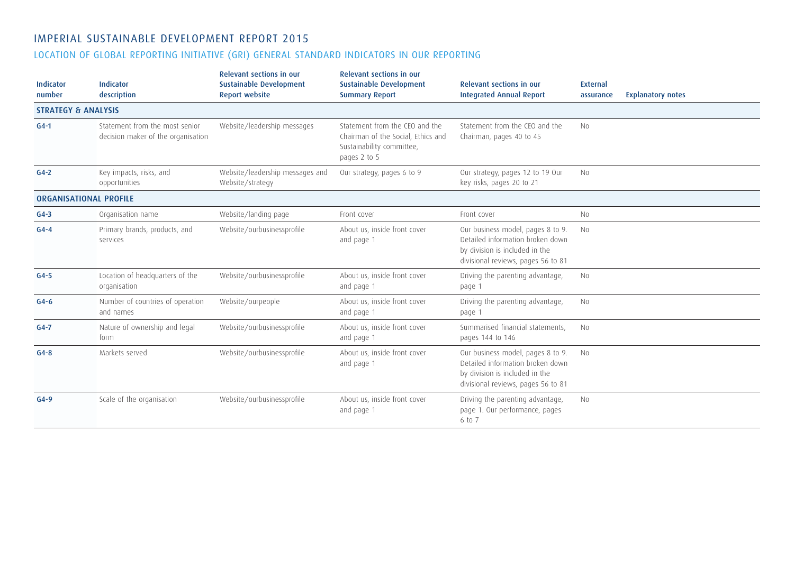## IMPERIAL SUSTAINABLE DEVELOPMENT REPORT 2015

## LOCATION OF GLOBAL REPORTING INITIATIVE (GRI) GENERAL STANDARD INDICATORS IN OUR REPORTING

| Indicator<br>number            | Indicator<br>description                                             | Relevant sections in our<br><b>Sustainable Development</b><br><b>Report website</b> | Relevant sections in our<br>Sustainable Development<br><b>Summary Report</b>                                      | <b>Relevant sections in our</b><br><b>Integrated Annual Report</b>                                                                            | External<br>assurance | <b>Explanatory notes</b> |  |
|--------------------------------|----------------------------------------------------------------------|-------------------------------------------------------------------------------------|-------------------------------------------------------------------------------------------------------------------|-----------------------------------------------------------------------------------------------------------------------------------------------|-----------------------|--------------------------|--|
| <b>STRATEGY &amp; ANALYSIS</b> |                                                                      |                                                                                     |                                                                                                                   |                                                                                                                                               |                       |                          |  |
| $G4-1$                         | Statement from the most senior<br>decision maker of the organisation | Website/leadership messages                                                         | Statement from the CEO and the<br>Chairman of the Social, Ethics and<br>Sustainability committee,<br>pages 2 to 5 | Statement from the CEO and the<br>Chairman, pages 40 to 45                                                                                    | <b>No</b>             |                          |  |
| $G4-2$                         | Key impacts, risks, and<br>opportunities                             | Website/leadership messages and<br>Website/strategy                                 | Our strategy, pages 6 to 9                                                                                        | Our strategy, pages 12 to 19 Our<br>key risks, pages 20 to 21                                                                                 | <b>No</b>             |                          |  |
| <b>ORGANISATIONAL PROFILE</b>  |                                                                      |                                                                                     |                                                                                                                   |                                                                                                                                               |                       |                          |  |
| $G4-3$                         | Organisation name                                                    | Website/landing page                                                                | Front cover                                                                                                       | Front cover                                                                                                                                   | <b>No</b>             |                          |  |
| $G4-4$                         | Primary brands, products, and<br>services                            | Website/ourbusinessprofile                                                          | About us, inside front cover<br>and page 1                                                                        | Our business model, pages 8 to 9.<br>Detailed information broken down<br>by division is included in the<br>divisional reviews, pages 56 to 81 | <b>No</b>             |                          |  |
| $G4-5$                         | Location of headquarters of the<br>organisation                      | Website/ourbusinessprofile                                                          | About us, inside front cover<br>and page 1                                                                        | Driving the parenting advantage,<br>page 1                                                                                                    | No                    |                          |  |
| $G4-6$                         | Number of countries of operation<br>and names                        | Website/ourpeople                                                                   | About us, inside front cover<br>and page 1                                                                        | Driving the parenting advantage,<br>page 1                                                                                                    | <b>No</b>             |                          |  |
| $G4-7$                         | Nature of ownership and legal<br>form                                | Website/ourbusinessprofile                                                          | About us, inside front cover<br>and page 1                                                                        | Summarised financial statements,<br>pages 144 to 146                                                                                          | <b>No</b>             |                          |  |
| $G4-8$                         | Markets served                                                       | Website/ourbusinessprofile                                                          | About us, inside front cover<br>and page 1                                                                        | Our business model, pages 8 to 9.<br>Detailed information broken down<br>by division is included in the<br>divisional reviews, pages 56 to 81 | <b>No</b>             |                          |  |
| $G4-9$                         | Scale of the organisation                                            | Website/ourbusinessprofile                                                          | About us, inside front cover<br>and page 1                                                                        | Driving the parenting advantage,<br>page 1. Our performance, pages<br>6 to 7                                                                  | <b>No</b>             |                          |  |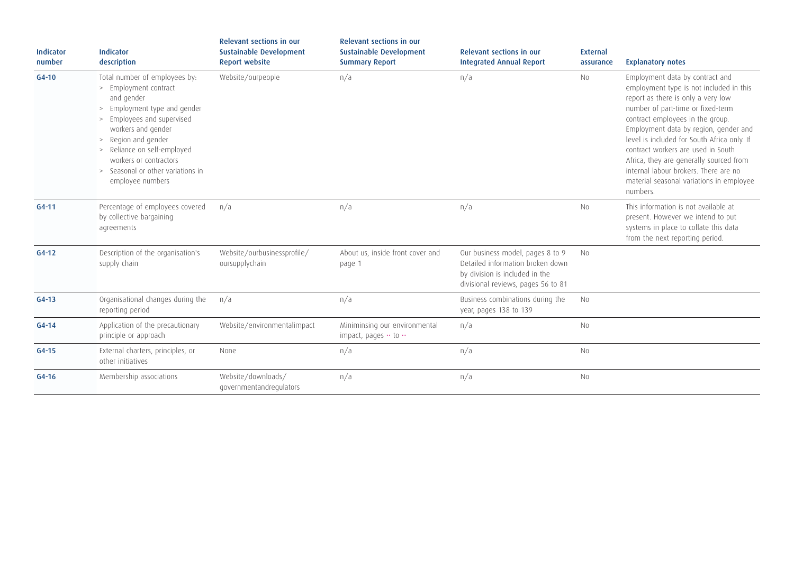| Indicator<br>number | Indicator<br>description                                                                                                                                                                                                                                                                              | Relevant sections in our<br><b>Sustainable Development</b><br><b>Report website</b> | Relevant sections in our<br><b>Sustainable Development</b><br><b>Summary Report</b> | Relevant sections in our<br><b>Integrated Annual Report</b>                                                                                  | External<br>assurance | <b>Explanatory notes</b>                                                                                                                                                                                                                                                                                                                                                                                                                                            |
|---------------------|-------------------------------------------------------------------------------------------------------------------------------------------------------------------------------------------------------------------------------------------------------------------------------------------------------|-------------------------------------------------------------------------------------|-------------------------------------------------------------------------------------|----------------------------------------------------------------------------------------------------------------------------------------------|-----------------------|---------------------------------------------------------------------------------------------------------------------------------------------------------------------------------------------------------------------------------------------------------------------------------------------------------------------------------------------------------------------------------------------------------------------------------------------------------------------|
| $G4-10$             | Total number of employees by:<br>> Employment contract<br>and gender<br>> Employment type and gender<br>> Employees and supervised<br>workers and gender<br>> Region and gender<br>Reliance on self-employed<br>><br>workers or contractors.<br>> Seasonal or other variations in<br>employee numbers | Website/ourpeople                                                                   | n/a                                                                                 | n/a                                                                                                                                          | <b>No</b>             | Employment data by contract and<br>employment type is not included in this<br>report as there is only a very low<br>number of part-time or fixed-term<br>contract employees in the group.<br>Employment data by region, gender and<br>level is included for South Africa only. If<br>contract workers are used in South<br>Africa, they are generally sourced from<br>internal labour brokers. There are no<br>material seasonal variations in employee<br>numbers. |
| $G4 - 11$           | Percentage of employees covered<br>by collective bargaining<br>agreements                                                                                                                                                                                                                             | n/a                                                                                 | n/a                                                                                 | n/a                                                                                                                                          | No                    | This information is not available at<br>present. However we intend to put<br>systems in place to collate this data<br>from the next reporting period.                                                                                                                                                                                                                                                                                                               |
| $G4-12$             | Description of the organisation's<br>supply chain                                                                                                                                                                                                                                                     | Website/ourbusinessprofile/<br>oursupplychain                                       | About us, inside front cover and<br>page 1                                          | Our business model, pages 8 to 9<br>Detailed information broken down<br>by division is included in the<br>divisional reviews, pages 56 to 81 | <b>No</b>             |                                                                                                                                                                                                                                                                                                                                                                                                                                                                     |
| $G4-13$             | Organisational changes during the<br>reporting period                                                                                                                                                                                                                                                 | n/a                                                                                 | n/a                                                                                 | Business combinations during the<br>year, pages 138 to 139                                                                                   | <b>No</b>             |                                                                                                                                                                                                                                                                                                                                                                                                                                                                     |
| $G4 - 14$           | Application of the precautionary<br>principle or approach                                                                                                                                                                                                                                             | Website/environmentalimpact                                                         | Miniminsing our environmental<br>impact, pages $\cdot \cdot$ to $\cdot \cdot$       | n/a                                                                                                                                          | N <sub>0</sub>        |                                                                                                                                                                                                                                                                                                                                                                                                                                                                     |
| $G4-15$             | External charters, principles, or<br>other initiatives                                                                                                                                                                                                                                                | None                                                                                | n/a                                                                                 | n/a                                                                                                                                          | <b>No</b>             |                                                                                                                                                                                                                                                                                                                                                                                                                                                                     |
| $G4-16$             | Membership associations                                                                                                                                                                                                                                                                               | Website/downloads/<br>governmentandregulators                                       | n/a                                                                                 | n/a                                                                                                                                          | <b>No</b>             |                                                                                                                                                                                                                                                                                                                                                                                                                                                                     |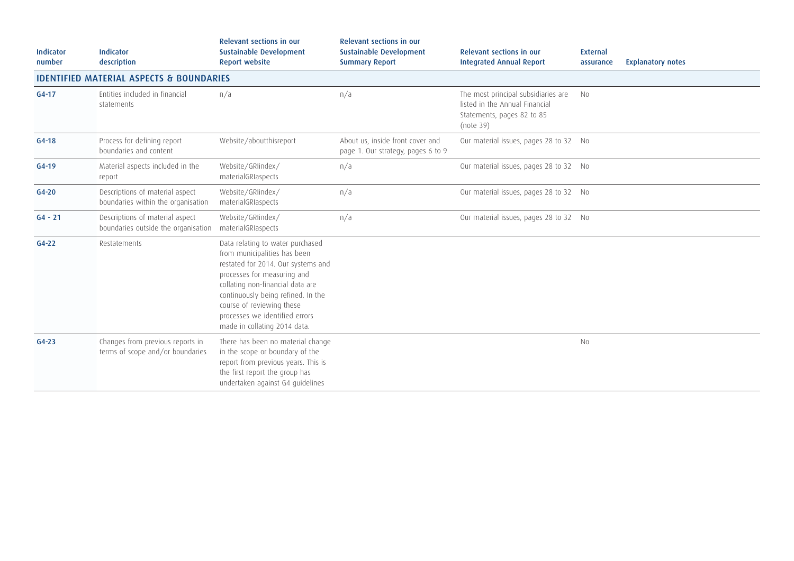| Indicator<br>number                                 | Indicator<br>description                                               | Relevant sections in our<br><b>Sustainable Development</b><br><b>Report website</b>                                                                                                                                                                                                                            | Relevant sections in our<br><b>Sustainable Development</b><br><b>Summary Report</b> | Relevant sections in our<br><b>Integrated Annual Report</b>                                                      | External<br>assurance | <b>Explanatory notes</b> |  |  |
|-----------------------------------------------------|------------------------------------------------------------------------|----------------------------------------------------------------------------------------------------------------------------------------------------------------------------------------------------------------------------------------------------------------------------------------------------------------|-------------------------------------------------------------------------------------|------------------------------------------------------------------------------------------------------------------|-----------------------|--------------------------|--|--|
| <b>IDENTIFIED MATERIAL ASPECTS &amp; BOUNDARIES</b> |                                                                        |                                                                                                                                                                                                                                                                                                                |                                                                                     |                                                                                                                  |                       |                          |  |  |
| $G4-17$                                             | Entities included in financial<br>statements                           | n/a                                                                                                                                                                                                                                                                                                            | n/a                                                                                 | The most principal subsidiaries are<br>listed in the Annual Financial<br>Statements, pages 82 to 85<br>(note 39) | <b>No</b>             |                          |  |  |
| $G4-18$                                             | Process for defining report<br>boundaries and content                  | Website/aboutthisreport                                                                                                                                                                                                                                                                                        | About us, inside front cover and<br>page 1. Our strategy, pages 6 to 9              | Our material issues, pages 28 to 32 No                                                                           |                       |                          |  |  |
| $G4-19$                                             | Material aspects included in the<br>report                             | Website/GRIindex/<br>materialGRIaspects                                                                                                                                                                                                                                                                        | n/a                                                                                 | Our material issues, pages 28 to 32 No                                                                           |                       |                          |  |  |
| $G4-20$                                             | Descriptions of material aspect<br>boundaries within the organisation  | Website/GRIindex/<br>materialGRIaspects                                                                                                                                                                                                                                                                        | n/a                                                                                 | Our material issues, pages 28 to 32 No                                                                           |                       |                          |  |  |
| $G4 - 21$                                           | Descriptions of material aspect<br>boundaries outside the organisation | Website/GRIindex/<br>materialGRIaspects                                                                                                                                                                                                                                                                        | n/a                                                                                 | Our material issues, pages 28 to 32 No                                                                           |                       |                          |  |  |
| $G4-22$                                             | Restatements                                                           | Data relating to water purchased<br>from municipalities has been<br>restated for 2014. Our systems and<br>processes for measuring and<br>collating non-financial data are<br>continuously being refined. In the<br>course of reviewing these<br>processes we identified errors<br>made in collating 2014 data. |                                                                                     |                                                                                                                  |                       |                          |  |  |
| $G4-23$                                             | Changes from previous reports in<br>terms of scope and/or boundaries   | There has been no material change<br>in the scope or boundary of the<br>report from previous years. This is<br>the first report the group has<br>undertaken against G4 guidelines                                                                                                                              |                                                                                     |                                                                                                                  | <b>No</b>             |                          |  |  |